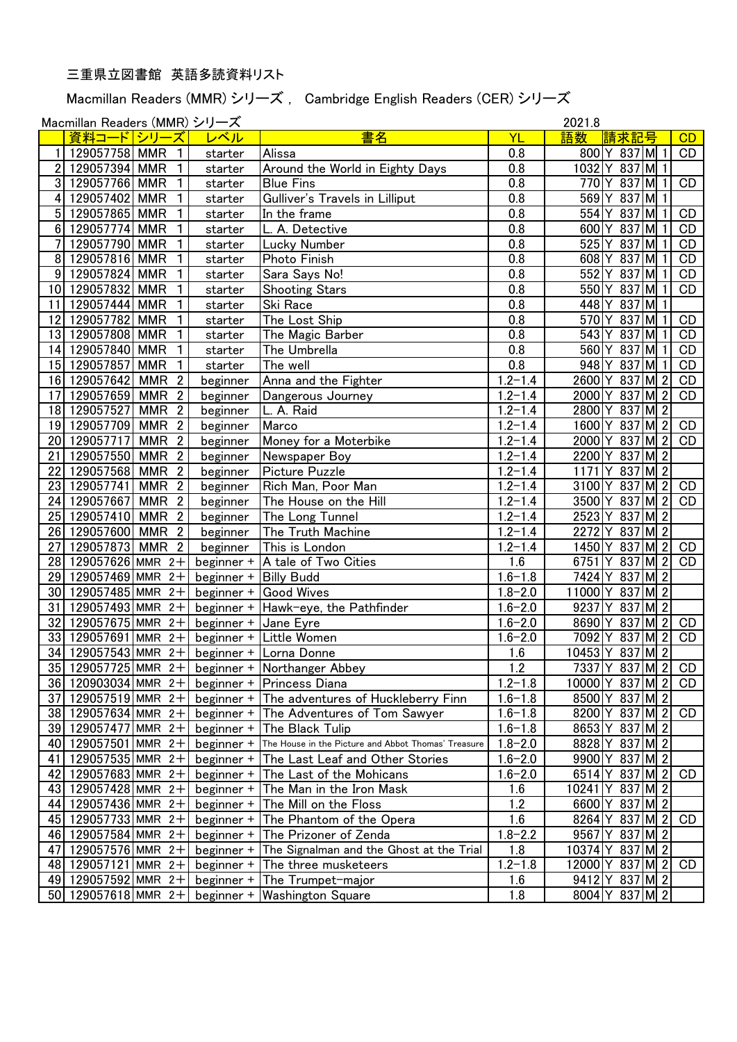## 三重県立図書館 英語多読資料リスト

Macmillan Readers (MMR) シリーズ , Cambridge English Readers (CER) シリーズ

Moomillan Readers (MMR)  $\frac{211 - 7^2}{2021}$ 

|                 | Macmillan Readers (MMR) ンリース |                              |                              |                                                     |                        | 2021.8                                       |
|-----------------|------------------------------|------------------------------|------------------------------|-----------------------------------------------------|------------------------|----------------------------------------------|
|                 | 資料コ<br>$\mathbf{E}$          | シリ<br>ズ                      | レベル                          | 書名                                                  | YL                     | 語数<br>請求記号<br>CD                             |
|                 | 129057758 MMR                | 1                            | starter                      | Alissa                                              | 0.8                    | 837M1<br>800 Y<br>CD                         |
| $\mathbf{2}$    | 129057394                    | <b>MMR</b><br>$\mathbf 1$    | starter                      | Around the World in Eighty Days                     | 0.8                    | 1032<br>837M 1                               |
| 3 <sup>1</sup>  | 129057766 MMR                | 1                            | starter                      | <b>Blue Fins</b>                                    | 0.8                    | 837M1<br>770<br>CD                           |
| 4 <sup>1</sup>  | 129057402 MMR                | 1                            | starter                      | Gulliver's Travels in Lilliput                      | 0.8                    | 837<br>M 1<br>569<br>Y                       |
| 5 <sup>1</sup>  | 129057865 MMR                | $\mathbf{1}$                 | starter                      | In the frame                                        | 0.8                    | $837$ M 1<br>554Y<br>CD                      |
|                 | 6 129057774 MMR              | $\mathbf{1}$                 | starter                      | L. A. Detective                                     | 0.8                    | 837 M 1<br>CD<br>600Y                        |
| 7 <sup>1</sup>  | 129057790 MMR                | $\mathbf{1}$                 | starter                      | Lucky Number                                        | 0.8                    | $525$ <sup>Y</sup><br>$837$ M 1<br><b>CD</b> |
|                 | 8 129057816 MMR              | $\overline{1}$               | starter                      | Photo Finish                                        | 0.8                    | $837$ M 1<br>608Y<br><b>CD</b>               |
|                 | 9 129057824 MMR              | $\mathbf{1}$                 | starter                      | Sara Says No!                                       | 0.8                    | 837 M 1<br>552<br>CD<br>Y                    |
|                 | 10 129057832 MMR             | $\overline{1}$               | starter                      | <b>Shooting Stars</b>                               | 0.8                    | $837$ M 1<br>550 <sup>Y</sup><br>CD          |
|                 | 11 129057444 MMR             | $\overline{1}$               | starter                      | Ski Race                                            | 0.8                    | $837$ M 1<br>448 Y                           |
|                 | 12 129057782 MMR             | $\overline{1}$               | starter                      | The Lost Ship                                       | 0.8                    | $837$ M 1<br>$\mathsf{CD}$<br>570Y           |
|                 | 13 129057808 MMR             | $\overline{1}$               | starter                      | The Magic Barber                                    | 0.8                    | $837$ M $\vert$ 1<br>543<br>CD<br>Y          |
|                 | 14 129057840 MMR             | $\overline{1}$               | starter                      | The Umbrella                                        | 0.8                    | 837M<br>560<br>$\overline{1}$<br>Y<br>CD     |
|                 | 15 129057857                 | <b>MMR</b><br>$\overline{1}$ | starter                      | The well                                            | 0.8                    | 948<br>837 M 1<br>CD<br>Y                    |
|                 | 16 129057642                 | MMR <sub>2</sub>             | beginner                     | Anna and the Fighter                                | $1.2 - 1.4$            | 2600<br>837 M2<br>Y<br>CD                    |
| 17 <sup>1</sup> | 129057659                    | <b>MMR</b><br>$\overline{2}$ | beginner                     | Dangerous Journey                                   | $\overline{1.2} - 1.4$ | 2000<br>Y<br>$837$ M 2<br>CD                 |
|                 | 18 129057527                 | MMR <sub>2</sub>             | beginner                     | L. A. Raid                                          | $\overline{1.2} - 1.4$ | $837$ M 2<br>2800Y                           |
|                 | 19 129057709                 | MMR <sub>2</sub>             | beginner                     | Marco                                               | $1.2 - 1.4$            | $1600$ <sup>Y</sup><br>837 M 2<br>CD         |
|                 | 20 129057717                 | MMR <sub>2</sub>             | beginner                     | Money for a Moterbike                               | $1.2 - 1.4$            | 2000<br>Υ<br>$837$ M 2<br>CD                 |
| 21              | 129057550                    | MMR $\overline{2}$           | beginner                     | Newspaper Boy                                       | $1.2 - 1.4$            | 837 M2<br>2200<br>Y                          |
| 22              | 129057568                    | $\overline{2}$<br>MMR        | beginner                     | <b>Picture Puzzle</b>                               | $1.2 - 1.4$            | 837 M 2<br>1171<br>Υ                         |
| 23              | 129057741                    | $\overline{2}$<br><b>MMR</b> | beginner                     | Rich Man, Poor Man                                  | $1.2 - 1.4$            | 837M2<br>3100<br>Υ<br>CD                     |
| 24              | 129057667                    | $\overline{2}$<br>MMR        | beginner                     | The House on the Hill                               | $1.2 - 1.4$            | 3500<br>837M2<br>CD                          |
| 25              | 129057410                    | $\overline{2}$<br>MMR        | beginner                     | The Long Tunnel                                     | $\overline{1.2} - 1.4$ | 2523<br>837 M2                               |
| 26              | 129057600 MMR                | $\overline{2}$               | beginner                     | The Truth Machine                                   | $1.2 - 1.4$            | M 2 <br>2272<br>837                          |
| 27              | 129057873 MMR                | $\overline{2}$               | beginner                     | This is London                                      | $1.2 - 1.4$            | $ M $ 2<br>1450<br>837<br>CD                 |
| 28 <sup>1</sup> | 129057626 MMR $2+$           |                              | beginner +                   | A tale of Two Cities                                | 1.6                    | 6751<br>$837$ M 2<br>CD                      |
| 29              | 129057469 MMR                | $2+$                         | beginner +                   | <b>Billy Budd</b>                                   | $1.6 - 1.8$            | M 2<br>7424<br>837<br>Y                      |
|                 | 30 129057485 MMR             | $2+$                         | beginner +                   | Good Wives                                          | $\overline{1.8 - 2.0}$ | $\sqrt{M}$ 2<br>837<br>11000Y                |
| 31              | 129057493 MMR                | $2+$                         |                              | beginner + Hawk-eye, the Pathfinder                 | $1.6 - 2.0$            | $\sqrt{M}$ 2<br>9237<br>837                  |
| 32              | 129057675 MMR                | $2+$                         | beginner + $\vert$ Jane Eyre |                                                     | $1.6 - 2.0$            | $837$ M 2<br>CD<br>8690Y                     |
|                 | 33 129057691 MMR             | $2+$                         |                              | beginner + Little Women                             | $1.6 - 2.0$            | $837$ M 2<br>7092<br>CD<br>Υ                 |
|                 | 34 129057543 MMR             | $2+$                         |                              | beginner + Lorna Donne                              | 1.6                    | $837$ M 2<br>$10453$ <sup>Y</sup>            |
|                 | 35 129057725 MMR 2+          |                              |                              | beginner + Northanger Abbey                         | 1.2                    | 7337 Y 837 M 2 CD                            |
|                 | 36 120903034 MMR $2+$        |                              | beginner +                   | <b>Princess Diana</b>                               | $1.2 - 1.8$            | 10000 Y 837 M 2 CD                           |
| 37              | 129057519 MMR 2+             |                              | beginner +                   | The adventures of Huckleberry Finn                  | $1.6 - 1.8$            | 8500 Y 837 M 2                               |
|                 | 38 129057634 MMR 2+          |                              | beginner +                   | The Adventures of Tom Sawyer                        | $1.6 - 1.8$            | 8200 Y 837 M 2<br>CD                         |
|                 | 39 129057477 MMR 2+          |                              | beginner +                   | The Black Tulip                                     | $1.6 - 1.8$            | 8653 Y 837 M 2                               |
|                 | 40 129057501 MMR 2+          |                              | beginner +                   | The House in the Picture and Abbot Thomas' Treasure | $1.8 - 2.0$            | 8828 Y 837 M 2                               |
| 41              | 129057535 MMR $2+$           |                              | beginner +                   | The Last Leaf and Other Stories                     | $1.6 - 2.0$            | 9900 Y 837 M 2                               |
| 42              | 129057683 MMR $2+$           |                              | beginner +                   | The Last of the Mohicans                            | $1.6 - 2.0$            | 6514 Y 837 M 2 CD                            |
| 43              | 129057428 MMR $2+$           |                              | beginner +                   | The Man in the Iron Mask                            | 1.6                    | 10241 Y 837 M 2                              |
| 44              | 129057436 MMR 2+             |                              | beginner +                   | The Mill on the Floss                               | 1.2                    | 6600 Y 837 M 2                               |
| 45              | 129057733 MMR $2+$           |                              |                              | beginner + The Phantom of the Opera                 | 1.6                    | 8264 Y 837 M 2 CD                            |
| 46              | $129057584$ MMR 2+           |                              |                              | beginner + The Prizoner of Zenda                    | $1.8 - 2.2$            | 9567 Y 837 M 2                               |
| 47              | 129057576 MMR 2+             |                              |                              | beginner + The Signalman and the Ghost at the Trial | 1.8                    | 10374 Y 837 M 2                              |
| 48              | 129057121 MMR $2+$           |                              |                              | beginner + The three musketeers                     | $1.2 - 1.8$            | 837M2 CD<br>12000 Y                          |
|                 | 49 129057592 MMR 2+          |                              |                              | beginner + The Trumpet-major                        | 1.6                    | 9412 <sub>Y</sub><br>837 M2                  |
|                 | 50 129057618 MMR $2+$        |                              | beginner +                   | <b>Washington Square</b>                            | 1.8                    | 8004 Y 837 M 2                               |